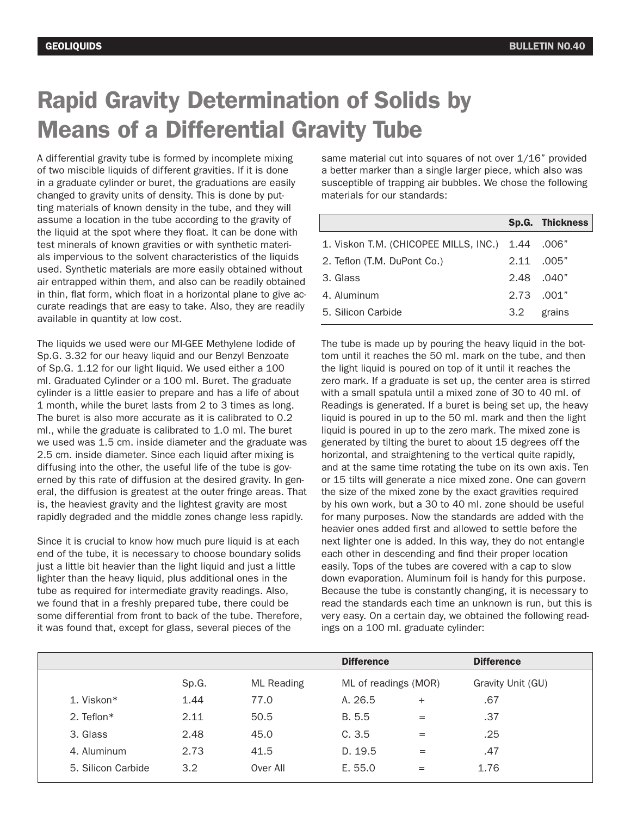## Rapid Gravity Determination of Solids by Means of a Differential Gravity Tube

A differential gravity tube is formed by incomplete mixing of two miscible liquids of different gravities. If it is done in a graduate cylinder or buret, the graduations are easily changed to gravity units of density. This is done by putting materials of known density in the tube, and they will assume a location in the tube according to the gravity of the liquid at the spot where they float. It can be done with test minerals of known gravities or with synthetic materials impervious to the solvent characteristics of the liquids used. Synthetic materials are more easily obtained without air entrapped within them, and also can be readily obtained in thin, flat form, which float in a horizontal plane to give accurate readings that are easy to take. Also, they are readily available in quantity at low cost.

The liquids we used were our MI-GEE Methylene Iodide of Sp.G. 3.32 for our heavy liquid and our Benzyl Benzoate of Sp.G. 1.12 for our light liquid. We used either a 100 ml. Graduated Cylinder or a 100 ml. Buret. The graduate cylinder is a little easier to prepare and has a life of about 1 month, while the buret lasts from 2 to 3 times as long. The buret is also more accurate as it is calibrated to 0.2 ml., while the graduate is calibrated to 1.0 ml. The buret we used was 1.5 cm. inside diameter and the graduate was 2.5 cm. inside diameter. Since each liquid after mixing is diffusing into the other, the useful life of the tube is governed by this rate of diffusion at the desired gravity. In general, the diffusion is greatest at the outer fringe areas. That is, the heaviest gravity and the lightest gravity are most rapidly degraded and the middle zones change less rapidly.

Since it is crucial to know how much pure liquid is at each end of the tube, it is necessary to choose boundary solids just a little bit heavier than the light liquid and just a little lighter than the heavy liquid, plus additional ones in the tube as required for intermediate gravity readings. Also, we found that in a freshly prepared tube, there could be some differential from front to back of the tube. Therefore, it was found that, except for glass, several pieces of the

same material cut into squares of not over 1/16" provided a better marker than a single larger piece, which also was susceptible of trapping air bubbles. We chose the following materials for our standards:

|                                            |               | <b>Sp.G. Thickness</b> |
|--------------------------------------------|---------------|------------------------|
| 1. Viskon T.M. (CHICOPEE MILLS, INC.) 1.44 |               | .006″                  |
| 2. Teflon (T.M. DuPont Co.)                |               | 2.11 .005"             |
| 3. Glass                                   |               | 2.48 040"              |
| 4. Aluminum                                |               | 2.73 001"              |
| 5. Silicon Carbide                         | $3.2^{\circ}$ | grains                 |

The tube is made up by pouring the heavy liquid in the bottom until it reaches the 50 ml. mark on the tube, and then the light liquid is poured on top of it until it reaches the zero mark. If a graduate is set up, the center area is stirred with a small spatula until a mixed zone of 30 to 40 ml. of Readings is generated. If a buret is being set up, the heavy liquid is poured in up to the 50 ml. mark and then the light liquid is poured in up to the zero mark. The mixed zone is generated by tilting the buret to about 15 degrees off the horizontal, and straightening to the vertical quite rapidly, and at the same time rotating the tube on its own axis. Ten or 15 tilts will generate a nice mixed zone. One can govern the size of the mixed zone by the exact gravities required by his own work, but a 30 to 40 ml. zone should be useful for many purposes. Now the standards are added with the heavier ones added first and allowed to settle before the next lighter one is added. In this way, they do not entangle each other in descending and find their proper location easily. Tops of the tubes are covered with a cap to slow down evaporation. Aluminum foil is handy for this purpose. Because the tube is constantly changing, it is necessary to read the standards each time an unknown is run, but this is very easy. On a certain day, we obtained the following readings on a 100 ml. graduate cylinder:

|                    |       |                   | <b>Difference</b>    |        | <b>Difference</b> |
|--------------------|-------|-------------------|----------------------|--------|-------------------|
|                    | Sp.G. | <b>ML</b> Reading | ML of readings (MOR) |        | Gravity Unit (GU) |
| 1. Viskon*         | 1.44  | 77.0              | A. 26.5              | $^{+}$ | .67               |
| 2. Teflon $*$      | 2.11  | 50.5              | B. 5.5               | $=$    | .37               |
| 3. Glass           | 2.48  | 45.0              | C.3.5                | $=$    | .25               |
| 4. Aluminum        | 2.73  | 41.5              | D. 19.5              | $=$    | .47               |
| 5. Silicon Carbide | 3.2   | Over All          | E. 55.0              | $=$    | 1.76              |